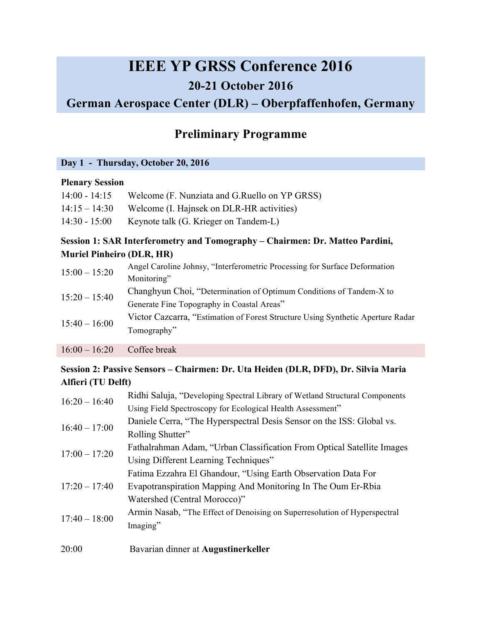# **IEEE YP GRSS Conference 2016 20-21 October 2016 German Aerospace Center (DLR) – Oberpfaffenhofen, Germany**

# **Preliminary Programme**

#### **Day 1 - Thursday, October 20, 2016**

#### **Plenary Session**

| $14:00 - 14:15$ | Welcome (F. Nunziata and G. Ruello on YP GRSS)          |
|-----------------|---------------------------------------------------------|
|                 | 14:15 – 14:30 Welcome (I. Hajnsek on DLR-HR activities) |
| $14:30 - 15:00$ | Keynote talk (G. Krieger on Tandem-L)                   |

# **Session 1: SAR Interferometry and Tomography – Chairmen: Dr. Matteo Pardini, Muriel Pinheiro (DLR, HR)**

| $15:00 - 15:20$ | Angel Caroline Johnsy, "Interferometric Processing for Surface Deformation      |
|-----------------|---------------------------------------------------------------------------------|
|                 | Monitoring"                                                                     |
| $15:20 - 15:40$ | Changhyun Choi, "Determination of Optimum Conditions of Tandem-X to             |
|                 | Generate Fine Topography in Coastal Areas"                                      |
| $15:40 - 16:00$ | Victor Cazcarra, "Estimation of Forest Structure Using Synthetic Aperture Radar |
|                 | Tomography"                                                                     |
| $16:00 - 16:20$ | Coffee break                                                                    |

# **Session 2: Passive Sensors – Chairmen: Dr. Uta Heiden (DLR, DFD), Dr. Silvia Maria Alfieri (TU Delft)**

| $16:20 - 16:40$                    | Ridhi Saluja, "Developing Spectral Library of Wetland Structural Components |
|------------------------------------|-----------------------------------------------------------------------------|
|                                    | Using Field Spectroscopy for Ecological Health Assessment"                  |
| $16:40 - 17:00$<br>$17:00 - 17:20$ | Daniele Cerra, "The Hyperspectral Desis Sensor on the ISS: Global vs.       |
|                                    | Rolling Shutter"                                                            |
|                                    | Fathalrahman Adam, "Urban Classification From Optical Satellite Images      |
|                                    | Using Different Learning Techniques"                                        |
|                                    | Fatima Ezzahra El Ghandour, "Using Earth Observation Data For               |
| $17:20 - 17:40$                    | Evapotranspiration Mapping And Monitoring In The Oum Er-Rbia                |
|                                    | Watershed (Central Morocco)"                                                |
| $17:40 - 18:00$                    | Armin Nasab, "The Effect of Denoising on Superresolution of Hyperspectral   |
|                                    | Imaging"                                                                    |
| 20:00                              | Bavarian dinner at Augustinerkeller                                         |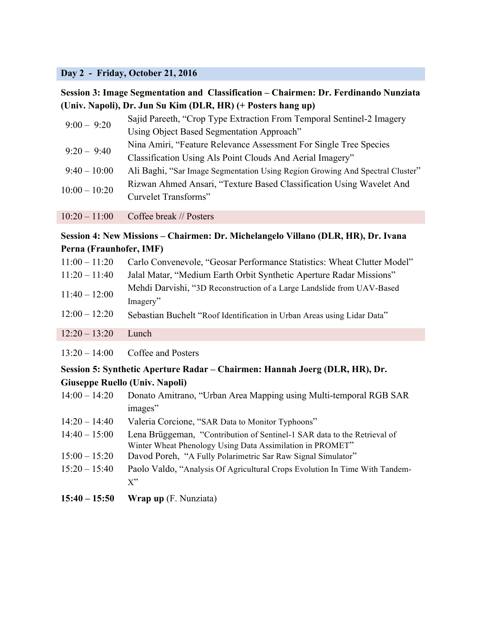#### **Day 2 - Friday, October 21, 2016**

# **Session 3: Image Segmentation and Classification – Chairmen: Dr. Ferdinando Nunziata (Univ. Napoli), Dr. Jun Su Kim (DLR, HR) (+ Posters hang up)**

| $9:00 - 9:20$   | Sajid Pareeth, "Crop Type Extraction From Temporal Sentinel-2 Imagery         |
|-----------------|-------------------------------------------------------------------------------|
|                 | Using Object Based Segmentation Approach"                                     |
| $9:20 - 9:40$   | Nina Amiri, "Feature Relevance Assessment For Single Tree Species             |
|                 | Classification Using Als Point Clouds And Aerial Imagery"                     |
| $9:40 - 10:00$  | Ali Baghi, "Sar Image Segmentation Using Region Growing And Spectral Cluster" |
| $10:00 - 10:20$ | Rizwan Ahmed Ansari, "Texture Based Classification Using Wavelet And          |
|                 | Curvelet Transforms"                                                          |
|                 |                                                                               |

10:20 – 11:00 Coffee break // Posters

#### **Session 4: New Missions – Chairmen: Dr. Michelangelo Villano (DLR, HR), Dr. Ivana Perna (Fraunhofer, IMF)**

| $11:00 - 11:20$ | Carlo Convenevole, "Geosar Performance Statistics: Wheat Clutter Model"            |
|-----------------|------------------------------------------------------------------------------------|
| $11:20 - 11:40$ | Jalal Matar, "Medium Earth Orbit Synthetic Aperture Radar Missions"                |
| $11:40 - 12:00$ | Mehdi Darvishi, "3D Reconstruction of a Large Landslide from UAV-Based<br>Imagery" |
| $12:00 - 12:20$ | Sebastian Buchelt "Roof Identification in Urban Areas using Lidar Data"            |
| $12:20 - 13:20$ | Lunch.                                                                             |
|                 |                                                                                    |

13:20 – 14:00 Coffee and Posters

# **Session 5: Synthetic Aperture Radar – Chairmen: Hannah Joerg (DLR, HR), Dr. Giuseppe Ruello (Univ. Napoli)**

| $14:00 - 14:20$ | Donato Amitrano, "Urban Area Mapping using Multi-temporal RGB SAR          |
|-----------------|----------------------------------------------------------------------------|
|                 | images"                                                                    |
|                 | $14.20 \quad 14.40 \quad$ Veloria Carajana. "CAB Deta to Manitar Typhoene" |

- 14:20 14:40 Valeria Corcione, "SAR Data to Monitor Typhoons"
- 14:40 15:00 Lena Brüggeman, "Contribution of Sentinel-1 SAR data to the Retrieval of Winter Wheat Phenology Using Data Assimilation in PROMET"
- 15:00 15:20 Davod Poreh, "A Fully Polarimetric Sar Raw Signal Simulator"
- 15:20 15:40 Paolo Valdo, "Analysis Of Agricultural Crops Evolution In Time With Tandem- $X$ "
- **15:40 – 15:50 Wrap up** (F. Nunziata)